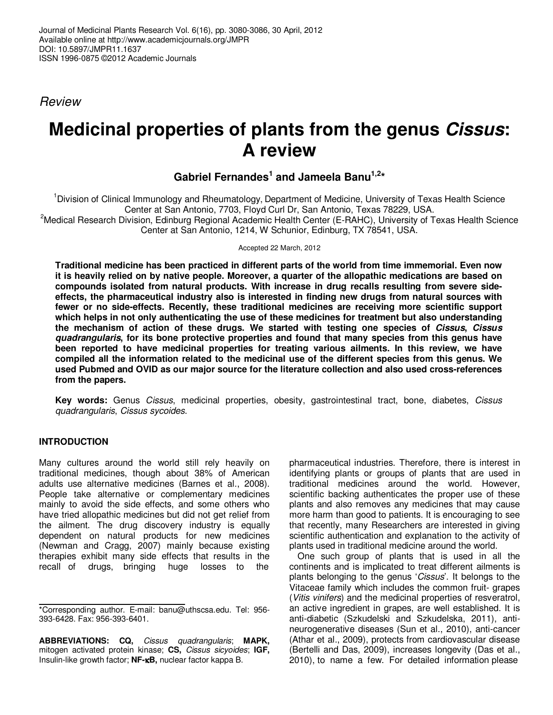Review

# **Medicinal properties of plants from the genus Cissus: A review**

## **Gabriel Fernandes<sup>1</sup> and Jameela Banu1,2\***

<sup>1</sup>Division of Clinical Immunology and Rheumatology, Department of Medicine, University of Texas Health Science Center at San Antonio, 7703, Floyd Curl Dr, San Antonio, Texas 78229, USA. <sup>2</sup>Medical Research Division, Edinburg Regional Academic Health Center (E-RAHC), University of Texas Health Science Center at San Antonio, 1214, W Schunior, Edinburg, TX 78541, USA.

Accepted 22 March, 2012

**Traditional medicine has been practiced in different parts of the world from time immemorial. Even now it is heavily relied on by native people. Moreover, a quarter of the allopathic medications are based on compounds isolated from natural products. With increase in drug recalls resulting from severe sideeffects, the pharmaceutical industry also is interested in finding new drugs from natural sources with fewer or no side-effects. Recently, these traditional medicines are receiving more scientific support which helps in not only authenticating the use of these medicines for treatment but also understanding the mechanism of action of these drugs. We started with testing one species of Cissus, Cissus quadrangularis, for its bone protective properties and found that many species from this genus have been reported to have medicinal properties for treating various ailments. In this review, we have compiled all the information related to the medicinal use of the different species from this genus. We used Pubmed and OVID as our major source for the literature collection and also used cross-references from the papers.** 

**Key words:** Genus Cissus, medicinal properties, obesity, gastrointestinal tract, bone, diabetes, Cissus quadrangularis, Cissus sycoides.

## **INTRODUCTION**

Many cultures around the world still rely heavily on traditional medicines, though about 38% of American adults use alternative medicines (Barnes et al., 2008). People take alternative or complementary medicines mainly to avoid the side effects, and some others who have tried allopathic medicines but did not get relief from the ailment. The drug discovery industry is equally dependent on natural products for new medicines (Newman and Cragg, 2007) mainly because existing therapies exhibit many side effects that results in the recall of drugs, bringing huge losses to the

**ABBREVIATIONS: CQ,** Cissus quadrangularis; **MAPK,** mitogen activated protein kinase; **CS,** Cissus sicyoides; **IGF,** Insulin-like growth factor; **NF-**κ**B,** nuclear factor kappa B.

pharmaceutical industries. Therefore, there is interest in identifying plants or groups of plants that are used in traditional medicines around the world. However, scientific backing authenticates the proper use of these plants and also removes any medicines that may cause more harm than good to patients. It is encouraging to see that recently, many Researchers are interested in giving scientific authentication and explanation to the activity of plants used in traditional medicine around the world.

One such group of plants that is used in all the continents and is implicated to treat different ailments is plants belonging to the genus 'Cissus'. It belongs to the Vitaceae family which includes the common fruit- grapes (Vitis vinifers) and the medicinal properties of resveratrol, an active ingredient in grapes, are well established. It is anti-diabetic (Szkudelski and Szkudelska, 2011), antineurogenerative diseases (Sun et al., 2010), anti-cancer (Athar et al., 2009), protects from cardiovascular disease (Bertelli and Das, 2009), increases longevity (Das et al., 2010), to name a few. For detailed information please

<sup>\*</sup>Corresponding author. E-mail: banu@uthscsa.edu. Tel: 956- 393-6428. Fax: 956-393-6401.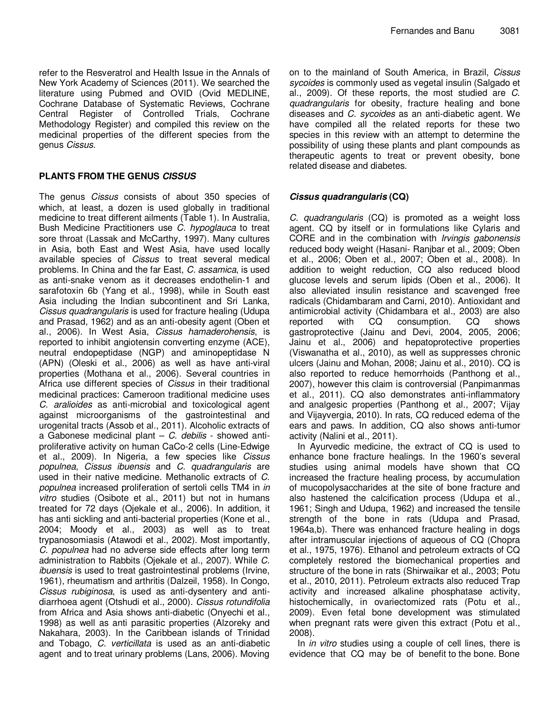refer to the Resveratrol and Health Issue in the Annals of New York Academy of Sciences (2011). We searched the literature using Pubmed and OVID (Ovid MEDLINE, Cochrane Database of Systematic Reviews, Cochrane Central Register of Controlled Trials, Cochrane Methodology Register) and compiled this review on the medicinal properties of the different species from the genus Cissus.

## **PLANTS FROM THE GENUS CISSUS**

The genus Cissus consists of about 350 species of which, at least, a dozen is used globally in traditional medicine to treat different ailments (Table 1). In Australia, Bush Medicine Practitioners use C. hypoglauca to treat sore throat (Lassak and McCarthy, 1997). Many cultures in Asia, both East and West Asia, have used locally available species of Cissus to treat several medical problems. In China and the far East, C. assamica, is used as anti-snake venom as it decreases endothelin-1 and sarafotoxin 6b (Yang et al., 1998), while in South east Asia including the Indian subcontinent and Sri Lanka, Cissus quadrangularis is used for fracture healing (Udupa and Prasad, 1962) and as an anti-obesity agent (Oben et al., 2006). In West Asia, Cissus hamaderohensis, is reported to inhibit angiotensin converting enzyme (ACE), neutral endopeptidase (NGP) and aminopeptidase N (APN) (Oleski et al., 2006) as well as have anti-viral properties (Mothana et al., 2006). Several countries in Africa use different species of *Cissus* in their traditional medicinal practices: Cameroon traditional medicine uses C. aralioides as anti-microbial and toxicological agent against microorganisms of the gastrointestinal and urogenital tracts (Assob et al., 2011). Alcoholic extracts of a Gabonese medicinal plant  $-$  C. debilis - showed antiproliferative activity on human CaCo-2 cells (Line-Edwige et al., 2009). In Nigeria, a few species like Cissus populnea, Cissus ibuensis and C. quadrangularis are used in their native medicine. Methanolic extracts of C. populnea increased proliferation of sertoli cells TM4 in in vitro studies (Osibote et al., 2011) but not in humans treated for 72 days (Ojekale et al., 2006). In addition, it has anti sickling and anti-bacterial properties (Kone et al., 2004; Moody et al., 2003) as well as to treat trypanosomiasis (Atawodi et al., 2002). Most importantly, C. populnea had no adverse side effects after long term administration to Rabbits (Ojekale et al., 2007). While C. ibuensis is used to treat gastrointestinal problems (Irvine, 1961), rheumatism and arthritis (Dalzeil, 1958). In Congo, Cissus rubiginosa, is used as anti-dysentery and antidiarrhoea agent (Otshudi et al., 2000). Cissus rotundifolia from Africa and Asia shows anti-diabetic (Onyechi et al., 1998) as well as anti parasitic properties (Alzoreky and Nakahara, 2003). In the Caribbean islands of Trinidad and Tobago, C. verticillata is used as an anti-diabetic agent and to treat urinary problems (Lans, 2006). Moving on to the mainland of South America, in Brazil, Cissus sycoides is commonly used as vegetal insulin (Salgado et al., 2009). Of these reports, the most studied are C. quadrangularis for obesity, fracture healing and bone diseases and C. sycoides as an anti-diabetic agent. We have compiled all the related reports for these two species in this review with an attempt to determine the possibility of using these plants and plant compounds as therapeutic agents to treat or prevent obesity, bone related disease and diabetes.

## **Cissus quadrangularis (CQ)**

C. quadrangularis (CQ) is promoted as a weight loss agent. CQ by itself or in formulations like Cylaris and CORE and in the combination with Irvingis gabonensis reduced body weight (Hasani- Ranjbar et al., 2009; Oben et al., 2006; Oben et al., 2007; Oben et al., 2008). In addition to weight reduction, CQ also reduced blood glucose levels and serum lipids (Oben et al., 2006). It also alleviated insulin resistance and scavenged free radicals (Chidambaram and Carni, 2010). Antioxidant and antimicrobial activity (Chidambara et al., 2003) are also reported with CQ consumption. CQ shows gastroprotective (Jainu and Devi, 2004, 2005, 2006; Jainu et al., 2006) and hepatoprotective properties (Viswanatha et al., 2010), as well as suppresses chronic ulcers (Jainu and Mohan, 2008; Jainu et al., 2010). CQ is also reported to reduce hemorrhoids (Panthong et al., 2007), however this claim is controversial (Panpimanmas et al., 2011). CQ also demonstrates anti-inflammatory and analgesic properties (Panthong et al., 2007; Vijay and Vijayvergia, 2010). In rats, CQ reduced edema of the ears and paws. In addition, CQ also shows anti-tumor activity (Nalini et al., 2011).

In Ayurvedic medicine, the extract of CQ is used to enhance bone fracture healings. In the 1960's several studies using animal models have shown that CQ increased the fracture healing process, by accumulation of mucopolysaccharides at the site of bone fracture and also hastened the calcification process (Udupa et al., 1961; Singh and Udupa, 1962) and increased the tensile strength of the bone in rats (Udupa and Prasad, 1964a,b). There was enhanced fracture healing in dogs after intramuscular injections of aqueous of CQ (Chopra et al., 1975, 1976). Ethanol and petroleum extracts of CQ completely restored the biomechanical properties and structure of the bone in rats (Shirwaikar et al., 2003; Potu et al., 2010, 2011). Petroleum extracts also reduced Trap activity and increased alkaline phosphatase activity, histochemically, in ovariectomized rats (Potu et al., 2009). Even fetal bone development was stimulated when pregnant rats were given this extract (Potu et al., 2008).

In *in vitro* studies using a couple of cell lines, there is evidence that CQ may be of benefit to the bone. Bone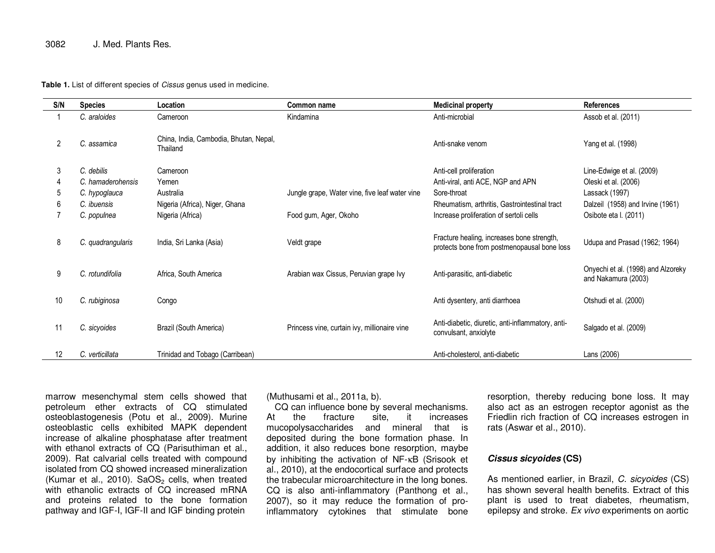#### 3082 J. Med. Plants Res.

#### Table 1. List of different species of *Cissus* genus used in medicine.

| S/N | <b>Species</b>    | Location                                           | Common name                                    | <b>Medicinal property</b>                                                                 | <b>References</b>                                         |
|-----|-------------------|----------------------------------------------------|------------------------------------------------|-------------------------------------------------------------------------------------------|-----------------------------------------------------------|
|     | C. araloides      | Cameroon                                           | Kindamina                                      | Anti-microbial                                                                            | Assob et al. (2011)                                       |
| 2   | C. assamica       | China, India, Cambodia, Bhutan, Nepal,<br>Thailand |                                                | Anti-snake venom                                                                          | Yang et al. (1998)                                        |
| 3   | C. debilis        | Cameroon                                           |                                                | Anti-cell proliferation                                                                   | Line-Edwige et al. (2009)                                 |
|     | C. hamaderohensis | Yemen                                              |                                                | Anti-viral, anti ACE, NGP and APN                                                         | Oleski et al. (2006)                                      |
| b   | C. hypoglauca     | Australia                                          | Jungle grape, Water vine, five leaf water vine | Sore-throat                                                                               | Lassack (1997)                                            |
| 6   | C. ibuensis       | Nigeria (Africa), Niger, Ghana                     |                                                | Rheumatism, arthritis, Gastrointestinal tract                                             | Dalzeil (1958) and Irvine (1961)                          |
|     | C. populnea       | Nigeria (Africa)                                   | Food gum, Ager, Okoho                          | Increase proliferation of sertoli cells                                                   | Osibote eta I. (2011)                                     |
| 8   | C. quadrangularis | India, Sri Lanka (Asia)                            | Veldt grape                                    | Fracture healing, increases bone strength,<br>protects bone from postmenopausal bone loss | Udupa and Prasad (1962; 1964)                             |
| 9   | C. rotundifolia   | Africa, South America                              | Arabian wax Cissus, Peruvian grape Ivy         | Anti-parasitic, anti-diabetic                                                             | Onyechi et al. (1998) and Alzoreky<br>and Nakamura (2003) |
| 10  | C. rubiginosa     | Congo                                              |                                                | Anti dysentery, anti diarrhoea                                                            | Otshudi et al. (2000)                                     |
| 11  | C. sicyoides      | Brazil (South America)                             | Princess vine, curtain ivy, millionaire vine   | Anti-diabetic, diuretic, anti-inflammatory, anti-<br>convulsant, anxiolyte                | Salgado et al. (2009)                                     |
| 12  | C. verticillata   | Trinidad and Tobago (Carribean)                    |                                                | Anti-cholesterol, anti-diabetic                                                           | Lans (2006)                                               |

marrow mesenchymal stem cells showed that petroleum ether extracts of CQ stimulated osteoblastogenesis (Potu et al., 2009). Murine osteoblastic cells exhibited MAPK dependent increase of alkaline phosphatase after treatment with ethanol extracts of CQ (Parisuthiman et al., 2009). Rat calvarial cells treated with compound isolated from CQ showed increased mineralization (Kumar et al., 2010).  $SaOS<sub>2</sub>$  cells, when treated with ethanolic extracts of CQ increased mRNA and proteins related to the bone formation pathway and IGF-I, IGF-II and IGF binding protein

(Muthusami et al., 2011a, b).

 CQ can influence bone by several mechanisms. At the fracture site, it increases mucopolysaccharides and mineral that is deposited during the bone formation phase. In addition, it also reduces bone resorption, maybe by inhibiting the activation of NF-κB (Srisook et al., 2010), at the endocortical surface and protects the trabecular microarchitecture in the long bones. CQ is also anti-inflammatory (Panthong et al., 2007), so it may reduce the formation of proinflammatory cytokines that stimulate bone

resorption, thereby reducing bone loss. It may also act as an estrogen receptor agonist as the Friedlin rich fraction of CQ increases estrogen in rats (Aswar et al., 2010).

#### **Cissus sicyoides (CS)**

As mentioned earlier, in Brazil, C. sicyoides (CS) has shown several health benefits. Extract of this plant is used to treat diabetes, rheumatism, epilepsy and stroke. Ex vivo experiments on aortic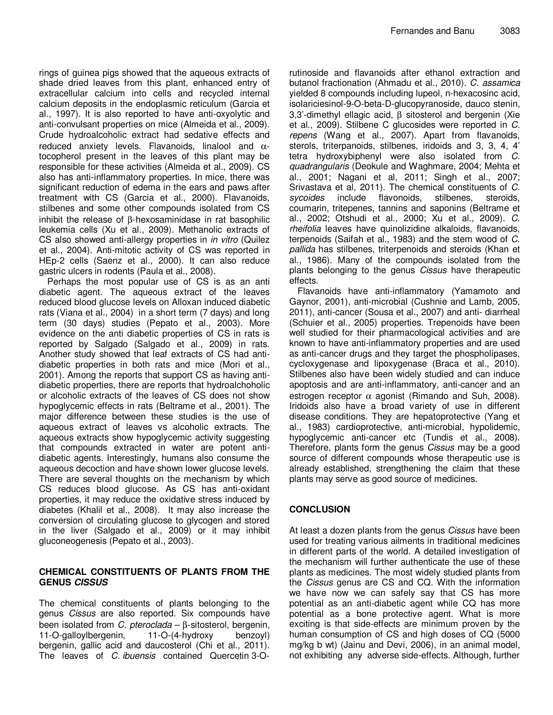rings of guinea pigs showed that the aqueous extracts of shade dried leaves from this plant, enhanced entry of extracellular calcium into cells and recycled internal calcium deposits in the endoplasmic reticulum (Garcia et al., 1997). It is also reported to have anti-oxyolytic and anti-convulsant properties on mice (Almeida et al., 2009). Crude hydroalcoholic extract had sedative effects and reduced anxiety levels. Flavanoids, linalool and  $\alpha$ tocopherol present in the leaves of this plant may be responsible for these activities (Almeida et al., 2009). CS also has anti-inflammatory properties. In mice, there was significant reduction of edema in the ears and paws after treatment with CS (Garcia et al., 2000). Flavanoids, stilbenes and some other compounds isolated from CS inhibit the release of β-hexosaminidase in rat basophilic leukemia cells (Xu et al., 2009). Methanolic extracts of CS also showed anti-allergy properties in in vitro (Quilez et al., 2004). Anti-mitotic activity of CS was reported in HEp-2 cells (Saenz et al., 2000). It can also reduce gastric ulcers in rodents (Paula et al., 2008).

Perhaps the most popular use of CS is as an anti diabetic agent. The aqueous extract of the leaves reduced blood glucose levels on Alloxan induced diabetic rats (Viana et al., 2004) in a short term (7 days) and long term (30 days) studies (Pepato et al., 2003). More evidence on the anti diabetic properties of CS in rats is reported by Salgado (Salgado et al., 2009) in rats. Another study showed that leaf extracts of CS had antidiabetic properties in both rats and mice (Mori et al., 2001). Among the reports that support CS as having antidiabetic properties, there are reports that hydroalchoholic or alcoholic extracts of the leaves of CS does not show hypoglycemic effects in rats (Beltrame et al., 2001). The major difference between these studies is the use of aqueous extract of leaves vs alcoholic extracts. The aqueous extracts show hypoglycemic activity suggesting that compounds extracted in water are potent antidiabetic agents. Interestingly, humans also consume the aqueous decoction and have shown lower glucose levels. There are several thoughts on the mechanism by which CS reduces blood glucose. As CS has anti-oxidant properties, it may reduce the oxidative stress induced by diabetes (Khalil et al., 2008). It may also increase the conversion of circulating glucose to glycogen and stored in the liver (Salgado et al., 2009) or it may inhibit gluconeogenesis (Pepato et al., 2003).

### **CHEMICAL CONSTITUENTS OF PLANTS FROM THE GENUS CISSUS**

The chemical constituents of plants belonging to the genus Cissus are also reported. Six compounds have been isolated from C. pteroclada – β-sitosterol, bergenin, 11-O-galloylbergenin, 11-O-(4-hydroxy benzoyl) bergenin, gallic acid and daucosterol (Chi et al., 2011). The leaves of C. ibuensis contained Quercetin 3-O-

rutinoside and flavanoids after ethanol extraction and butanol fractionation (Ahmadu et al., 2010). C. assamica yielded 8 compounds including lupeol, n-hexacosinc acid, isolariciesinol-9-O-beta-D-glucopyranoside, dauco stenin, 3,3'-dimethyl ellagic acid, β sitosterol and bergenin (Xie et al., 2009). Stilbene C glucosides were reported in C. repens (Wang et al., 2007). Apart from flavanoids, sterols, triterpanoids, stilbenes, iridoids and 3, 3, 4, 4' tetra hydroxybiphenyl were also isolated from C. quadrangularis (Deokule and Waghmare, 2004; Mehta et al., 2001; Nagani et al, 2011; Singh et al., 2007; Srivastava et al, 2011). The chemical constituents of C. sycoides include flavonoids, stilbenes, steroids, coumarin, tritepenes, tannins and saponins (Beltrame et al., 2002; Otshudi et al., 2000; Xu et al., 2009). C. rheifolia leaves have quinolizidine alkaloids, flavanoids, terpenoids (Saifah et al., 1983) and the stem wood of C. pallida has stilbenes, triterpenoids and steroids (Khan et al., 1986). Many of the compounds isolated from the plants belonging to the genus Cissus have therapeutic effects.

Flavanoids have anti-inflammatory (Yamamoto and Gaynor, 2001), anti-microbial (Cushnie and Lamb, 2005, 2011), anti-cancer (Sousa et al., 2007) and anti- diarrheal (Schuier et al., 2005) properties. Trepenoids have been well studied for their pharmacological activities and are known to have anti-inflammatory properties and are used as anti-cancer drugs and they target the phospholipases, cycloxygenase and lipoxygenase (Braca et al., 2010). Stilbenes also have been widely studied and can induce apoptosis and are anti-inflammatory, anti-cancer and an estrogen receptor  $\alpha$  agonist (Rimando and Suh, 2008). Iridoids also have a broad variety of use in different disease conditions. They are hepatoprotective (Yang et al., 1983) cardioprotective, anti-microbial, hypolidemic, hypoglycemic anti-cancer etc (Tundis et al., 2008). Therefore, plants form the genus Cissus may be a good source of different compounds whose therapeutic use is already established, strengthening the claim that these plants may serve as good source of medicines.

## **CONCLUSION**

At least a dozen plants from the genus Cissus have been used for treating various ailments in traditional medicines in different parts of the world. A detailed investigation of the mechanism will further authenticate the use of these plants as medicines. The most widely studied plants from the Cissus genus are CS and CQ. With the information we have now we can safely say that CS has more potential as an anti-diabetic agent while CQ has more potential as a bone protective agent. What is more exciting is that side-effects are minimum proven by the human consumption of CS and high doses of CQ (5000 mg/kg b wt) (Jainu and Devi, 2006), in an animal model, not exhibiting any adverse side-effects. Although, further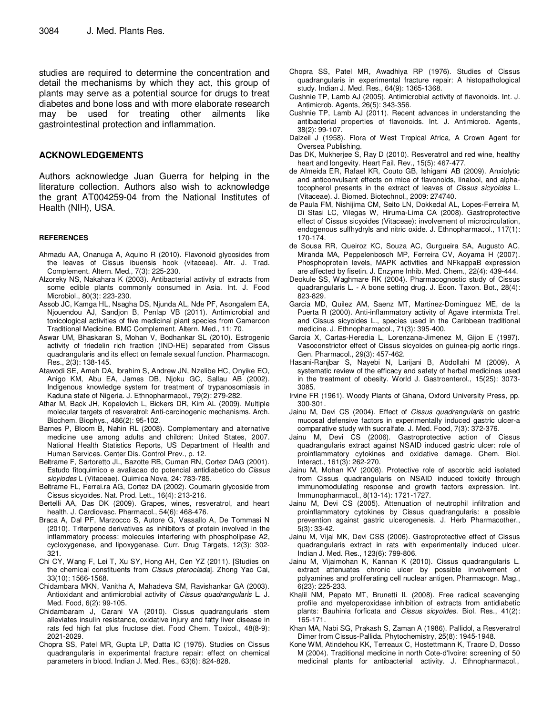studies are required to determine the concentration and detail the mechanisms by which they act, this group of plants may serve as a potential source for drugs to treat diabetes and bone loss and with more elaborate research may be used for treating other ailments like gastrointestinal protection and inflammation.

#### **ACKNOWLEDGEMENTS**

Authors acknowledge Juan Guerra for helping in the literature collection. Authors also wish to acknowledge the grant AT004259-04 from the National Institutes of Health (NIH), USA.

#### **REFERENCES**

- Ahmadu AA, Onanuga A, Aquino R (2010). Flavonoid glycosides from the leaves of Cissus ibuensis hook (vitaceae). Afr. J. Trad. Complement. Altern. Med., 7(3): 225-230.
- Alzoreky NS, Nakahara K (2003). Antibacterial activity of extracts from some edible plants commonly consumed in Asia. Int. J. Food Microbiol., 80(3): 223-230.
- Assob JC, Kamga HL, Nsagha DS, Njunda AL, Nde PF, Asongalem EA, Njouendou AJ, Sandjon B, Penlap VB (2011). Antimicrobial and toxicological activities of five medicinal plant species from Cameroon Traditional Medicine. BMC Complement. Altern. Med., 11: 70.
- Aswar UM, Bhaskaran S, Mohan V, Bodhankar SL (2010). Estrogenic activity of friedelin rich fraction (IND-HE) separated from Cissus quadrangularis and its effect on female sexual function. Pharmacogn. Res., 2(3): 138-145.
- Atawodi SE, Ameh DA, Ibrahim S, Andrew JN, Nzelibe HC, Onyike EO, Anigo KM, Abu EA, James DB, Njoku GC, Sallau AB (2002). Indigenous knowledge system for treatment of trypanosomiasis in Kaduna state of Nigeria. J. Ethnopharmacol., 79(2): 279-282.
- Athar M, Back JH, Kopelovich L, Bickers DR, Kim AL (2009). Multiple molecular targets of resveratrol: Anti-carcinogenic mechanisms. Arch. Biochem. Biophys., 486(2): 95-102.
- Barnes P, Bloom B, Nahin RL (2008). Complementary and alternative medicine use among adults and children: United States, 2007. National Health Statistics Reports, US Department of Health and Human Services. Center Dis. Control Prev., p. 12.
- Beltrame F, Sartoretto JL, Bazotte RB, Cuman RN, Cortez DAG (2001). Estudo fitoquimico e avaliacao do potencial antidiabetico do Cissus sicyiodes L (Vitaceae). Quimica Nova, 24: 783-785.
- Beltrame FL, Ferrei.ra AG, Cortez DA (2002). Coumarin glycoside from Cissus sicyoides. Nat. Prod. Lett., 16(4): 213-216.
- Bertelli AA, Das DK (2009). Grapes, wines, resveratrol, and heart health. J. Cardiovasc. Pharmacol., 54(6): 468-476.
- Braca A, Dal PF, Marzocco S, Autore G, Vassallo A, De Tommasi N (2010). Triterpene derivatives as inhibitors of protein involved in the inflammatory process: molecules interfering with phospholipase A2, cycloxygenase, and lipoxygenase. Curr. Drug Targets, 12(3): 302- 321.
- Chi CY, Wang F, Lei T, Xu SY, Hong AH, Cen YZ (2011). [Studies on the chemical constituents from Cissus pteroclada]. Zhong Yao Cai, 33(10): 1566-1568.
- Chidambara MKN, Vanitha A, Mahadeva SM, Ravishankar GA (2003). Antioxidant and antimicrobial activity of Cissus quadrangularis L. J. Med. Food, 6(2): 99-105.
- Chidambaram J, Carani VA (2010). Cissus quadrangularis stem alleviates insulin resistance, oxidative injury and fatty liver disease in rats fed high fat plus fructose diet. Food Chem. Toxicol., 48(8-9): 2021-2029.
- Chopra SS, Patel MR, Gupta LP, Datta IC (1975). Studies on Cissus quadrangularis in experimental fracture repair: effect on chemical parameters in blood. Indian J. Med. Res., 63(6): 824-828.
- Chopra SS, Patel MR, Awadhiya RP (1976). Studies of Cissus quadrangularis in experimental fracture repair: A histopathological study. Indian J. Med. Res., 64(9): 1365-1368.
- Cushnie TP, Lamb AJ (2005). Antimicrobial activity of flavonoids. Int. J. Antimicrob. Agents, 26(5): 343-356.
- Cushnie TP, Lamb AJ (2011). Recent advances in understanding the antibacterial properties of flavonoids. Int. J. Antimicrob. Agents, 38(2): 99-107.
- Dalzeil J (1958). Flora of West Tropical Africa, A Crown Agent for Oversea Publishing.
- Das DK, Mukherjee S, Ray D (2010). Resveratrol and red wine, healthy heart and longevity. Heart Fail. Rev., 15(5): 467-477.
- de Almeida ER, Rafael KR, Couto GB, Ishigami AB (2009). Anxiolytic and anticonvulsant effects on mice of flavonoids, linalool, and alphatocopherol presents in the extract of leaves of Cissus sicyoides L. (Vitaceae). J. Biomed. Biotechnol., 2009: 274740.
- de Paula FM, Nishijima CM, Seito LN, Dokkedal AL, Lopes-Ferreira M, Di Stasi LC, Vilegas W, Hiruma-Lima CA (2008). Gastroprotective effect of Cissus sicyoides (Vitaceae): involvement of microcirculation, endogenous sulfhydryls and nitric oxide. J. Ethnopharmacol., 117(1): 170-174.
- de Sousa RR, Queiroz KC, Souza AC, Gurgueira SA, Augusto AC, Miranda MA, Peppelenbosch MP, Ferreira CV, Aoyama H (2007). Phosphoprotein levels, MAPK activities and NFkappaB expression are affected by fisetin. J. Enzyme Inhib. Med. Chem., 22(4): 439-444.
- Deokule SS, Waghmare RK (2004). Pharmacognostic study of Cissus quadrangularis L. - A bone setting drug. J. Econ. Taxon. Bot., 28(4): 823-829.
- Garcia MD, Quilez AM, Saenz MT, Martinez-Dominguez ME, de la Puerta R (2000). Anti-inflammatory activity of Agave intermixta Trel. and Cissus sicyoides L., species used in the Caribbean traditional medicine. J. Ethnopharmacol., 71(3): 395-400.
- Garcia X, Cartas-Heredia L, Lorenzana-Jimenez M, Gijon E (1997). Vasoconstrictor effect of Cissus sicyoides on guinea-pig aortic rings. Gen. Pharmacol., 29(3): 457-462.
- Hasani-Ranjbar S, Nayebi N, Larijani B, Abdollahi M (2009). A systematic review of the efficacy and safety of herbal medicines used in the treatment of obesity. World J. Gastroenterol., 15(25): 3073- 3085.
- Irvine FR (1961). Woody Plants of Ghana, Oxford University Press, pp. 300-301.
- Jainu M, Devi CS (2004). Effect of Cissus quadrangularis on gastric mucosal defensive factors in experimentally induced gastric ulcer-a comparative study with sucralfate. J. Med. Food, 7(3): 372-376.
- Jainu M, Devi CS (2006). Gastroprotective action of Cissus quadrangularis extract against NSAID induced gastric ulcer: role of proinflammatory cytokines and oxidative damage. Chem. Biol. Interact., 161(3): 262-270.
- Jainu M, Mohan KV (2008). Protective role of ascorbic acid isolated from Cissus quadrangularis on NSAID induced toxicity through immunomodulating response and growth factors expression. Int. Immunopharmacol., 8(13-14): 1721-1727.
- Jainu M, Devi CS (2005). Attenuation of neutrophil infiltration and proinflammatory cytokines by Cissus quadrangularis: a possible prevention against gastric ulcerogenesis. J. Herb Pharmacother., 5(3): 33-42.
- Jainu M, Vijai MK, Devi CSS (2006). Gastroprotective effect of Cissus quadrangularis extract in rats with experimentally induced ulcer. Indian J. Med. Res., 123(6): 799-806.
- Jainu M, Vijaimohan K, Kannan K (2010). Cissus quadrangularis L. extract attenuates chronic ulcer by possible involvement of polyamines and proliferating cell nuclear antigen. Pharmacogn. Mag., 6(23): 225-233.
- Khalil NM, Pepato MT, Brunetti IL (2008). Free radical scavenging profile and myeloperoxidase inhibition of extracts from antidiabetic plants: Bauhinia forficata and Cissus sicyoides. Biol. Res., 41(2): 165-171.
- Khan MA, Nabi SG, Prakash S, Zaman A (1986). Pallidol, a Resveratrol Dimer from Cissus-Pallida. Phytochemistry, 25(8): 1945-1948.
- Kone WM, Atindehou KK, Terreaux C, Hostettmann K, Traore D, Dosso M (2004). Traditional medicine in north Cote-d'Ivoire: screening of 50 medicinal plants for antibacterial activity. J. Ethnopharmacol.,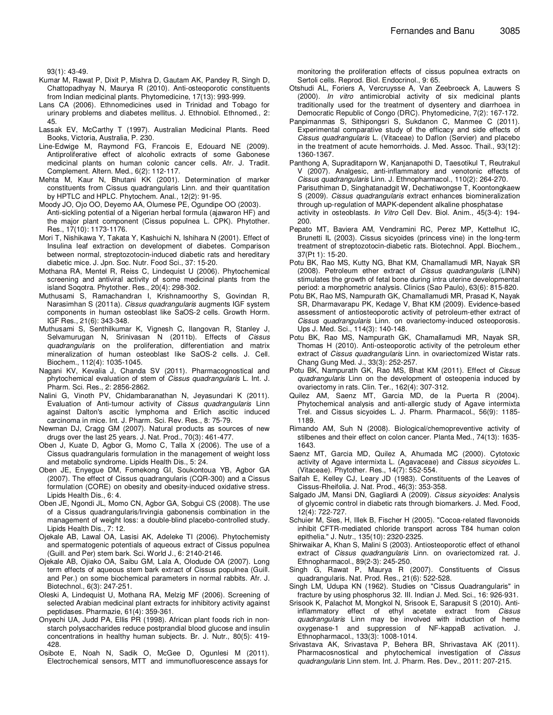93(1): 43-49.

- Kumar M, Rawat P, Dixit P, Mishra D, Gautam AK, Pandey R, Singh D, Chattopadhyay N, Maurya R (2010). Anti-osteoporotic constituents from Indian medicinal plants. Phytomedicine, 17(13): 993-999.
- Lans CA (2006). Ethnomedicines used in Trinidad and Tobago for urinary problems and diabetes mellitus. J. Ethnobiol. Ethnomed., 2: 45.
- Lassak EV, McCarthy T (1997). Australian Medicinal Plants. Reed Books, Victoria, Australia, P. 230.
- Line-Edwige M, Raymond FG, Francois E, Edouard NE (2009). Antiproliferative effect of alcoholic extracts of some Gabonese medicinal plants on human colonic cancer cells. Afr. J. Tradit. Complement. Altern. Med., 6(2): 112-117.
- Mehta M, Kaur N, Bhutani KK (2001). Determination of marker constituents from Cissus quadrangularis Linn. and their quantitation by HPTLC and HPLC. Phytochem. Anal., 12(2): 91-95.
- Moody JO, Ojo OO, Deyemo AA, Olumese PE, Ogundipe OO (2003). Anti-sickling potential of a Nigerian herbal formula (ajawaron HF) and the major plant component (Cissus populnea L. CPK). Phytother. Res., 17(10): 1173-1176.
- Mori T, Nishikawa Y, Takata Y, Kashuichi N, Ishihara N (2001). Effect of Insulina leaf extraction on development of diabetes. Comparison between normal, streptozotocin-induced diabetic rats and hereditary diabetic mice. J. Jpn. Soc. Nutr. Food Sci., 37: 15-20.
- Mothana RA, Mentel R, Reiss C, Lindequist U (2006). Phytochemical screening and antiviral activity of some medicinal plants from the island Soqotra. Phytother. Res., 20(4): 298-302.
- Muthusami S, Ramachandran I, Krishnamoorthy S, Govindan R, Narasimhan S (2011a). Cissus quadrangularis augments IGF system components in human osteoblast like SaOS-2 cells. Growth Horm. IGF Res., 21(6): 343-348.
- Muthusami S, Senthilkumar K, Vignesh C, Ilangovan R, Stanley J, Selvamurugan N, Srinivasan N (2011b). Effects of Cissus quadrangularis on the proliferation, differentiation and matrix mineralization of human osteoblast like SaOS-2 cells. J. Cell. Biochem., 112(4): 1035-1045.
- Nagani KV, Kevalia J, Chanda SV (2011). Pharmacognostical and phytochemical evaluation of stem of Cissus quadrangularis L. Int. J. Pharm. Sci. Res., 2: 2856-2862.
- Nalini G, Vinoth PV, Chidambaranathan N, Jeyasundari K (2011). Evaluation of Anti-tumour activity of Cissus quadrangularis Linn against Dalton's ascitic lymphoma and Erlich ascitic induced carcinoma in mice. Int. J. Pharm. Sci. Rev. Res., 8: 75-79.
- Newman DJ, Cragg GM (2007). Natural products as sources of new drugs over the last 25 years. J. Nat. Prod., 70(3): 461-477.
- Oben J, Kuate D, Agbor G, Momo C, Talla X (2006). The use of a Cissus quadrangularis formulation in the management of weight loss and metabolic syndrome. Lipids Health Dis., 5: 24.
- Oben JE, Enyegue DM, Fomekong GI, Soukontoua YB, Agbor GA (2007). The effect of Cissus quadrangularis (CQR-300) and a Cissus formulation (CORE) on obesity and obesity-induced oxidative stress. Lipids Health Dis., 6: 4.
- Oben JE, Ngondi JL, Momo CN, Agbor GA, Sobgui CS (2008). The use of a Cissus quadrangularis/Irvingia gabonensis combination in the management of weight loss: a double-blind placebo-controlled study. Lipids Health Dis., 7: 12.
- Ojekale AB, Lawal OA, Lasisi AK, Adeleke TI (2006). Phytochemisty and spermatogenic potentials of aqueous extract of Cissus populnea (Guill. and Per) stem bark. Sci. World J., 6: 2140-2146.
- Ojekale AB, Ojiako OA, Saibu GM, Lala A, Olodude OA (2007). Long term effects of aqueous stem bark extract of Cissus populnea (Guill. and Per.) on some biochemical parameters in normal rabbits. Afr. J. Biotechnol., 6(3): 247-251.
- Oleski A, Lindequist U, Mothana RA, Melzig MF (2006). Screening of selected Arabian medicinal plant extracts for inhibitory activity against peptidases. Pharmazie, 61(4): 359-361.
- Onyechi UA, Judd PA, Ellis PR (1998). African plant foods rich in nonstarch polysaccharides reduce postprandial blood glucose and insulin concentrations in healthy human subjects. Br. J. Nutr., 80(5): 419- 428.
- Osibote E, Noah N, Sadik O, McGee D, Ogunlesi M (2011). Electrochemical sensors, MTT and immunofluorescence assays for

 monitoring the proliferation effects of cissus populnea extracts on Sertoli cells. Reprod. Biol. Endocrinol., 9: 65.

- Otshudi AL, Foriers A, Vercruysse A, Van Zeebroeck A, Lauwers S (2000). In vitro antimicrobial activity of six medicinal plants traditionally used for the treatment of dysentery and diarrhoea in Democratic Republic of Congo (DRC). Phytomedicine, 7(2): 167-172.
- Panpimanmas S, Sithipongsri S, Sukdanon C, Manmee C (2011). Experimental comparative study of the efficacy and side effects of Cissus quadrangularis L. (Vitaceae) to Daflon (Servier) and placebo in the treatment of acute hemorrhoids. J. Med. Assoc. Thail., 93(12): 1360-1367.
- Panthong A, Supraditaporn W, Kanjanapothi D, Taesotikul T, Reutrakul V (2007). Analgesic, anti-inflammatory and venotonic effects of Cissus quadrangularis Linn. J. Ethnopharmacol., 110(2): 264-270. Parisuthiman D, Singhatanadgit W, Dechatiwongse T, Koontongkaew S (2009). Cissus quadrangularis extract enhances biomineralization through up-regulation of MAPK-dependent alkaline phosphatase activity in osteoblasts. In Vitro Cell Dev. Biol. Anim., 45(3-4): 194- 200.
- Pepato MT, Baviera AM, Vendramini RC, Perez MP, Kettelhut IC, Brunetti IL (2003). Cissus sicyoides (princess vine) in the long-term treatment of streptozotocin-diabetic rats. Biotechnol. Appl. Biochem., 37(Pt 1): 15-20.
- Potu BK, Rao MS, Kutty NG, Bhat KM, Chamallamudi MR, Nayak SR (2008). Petroleum ether extract of Cissus quadrangularis (LINN) stimulates the growth of fetal bone during intra uterine developmental period: a morphometric analysis. Clinics (Sao Paulo), 63(6): 815-820.
- Potu BK, Rao MS, Nampurath GK, Chamallamudi MR, Prasad K, Nayak SR, Dharmavarapu PK, Kedage V, Bhat KM (2009). Evidence-based assessment of antiosteoporotic activity of petroleum-ether extract of Cissus quadrangularis Linn. on ovariectomy-induced osteoporosis. Ups J. Med. Sci., 114(3): 140-148.
- Potu BK, Rao MS, Nampurath GK, Chamallamudi MR, Nayak SR, Thomas H (2010). Anti-osteoporotic activity of the petroleum ether extract of *Cissus quadrangularis* Linn. in ovariectomized Wistar rats. Chang Gung Med. J., 33(3): 252-257.
- Potu BK, Nampurath GK, Rao MS, Bhat KM (2011). Effect of Cissus quadrangularis Linn on the development of osteopenia induced by ovariectomy in rats. Clin. Ter., 162(4): 307-312.
- Quilez AM, Saenz MT, Garcia MD, de la Puerta R (2004). Phytochemical analysis and anti-allergic study of Agave intermixta Trel. and Cissus sicyoides L. J. Pharm. Pharmacol., 56(9): 1185- 1189.
- Rimando AM, Suh N (2008). Biological/chemopreventive activity of stilbenes and their effect on colon cancer. Planta Med., 74(13): 1635- 1643.
- Saenz MT, Garcia MD, Quilez A, Ahumada MC (2000). Cytotoxic activity of Agave intermixta L. (Agavaceae) and Cissus sicyoides L. (Vitaceae). Phytother. Res., 14(7): 552-554.
- Saifah E, Kelley CJ, Leary JD (1983). Constituents of the Leaves of Cissus-Rheifolia. J. Nat. Prod., 46(3): 353-358.
- Salgado JM, Mansi DN, Gagliardi A (2009). Cissus sicyoides: Analysis of glycemic control in diabetic rats through biomarkers. J. Med. Food, 12(4): 722-727.
- Schuier M, Sies, H, Illek B, Fischer H (2005). "Cocoa-related flavonoids inhibit CFTR-mediated chloride transport across T84 human colon epithelia." J. Nutr., 135(10): 2320-2325.
- Shirwaikar A, Khan S, Malini S (2003). Antiosteoporotic effect of ethanol extract of Cissus quadrangularis Linn. on ovariectomized rat. J. Ethnopharmacol., 89(2-3): 245-250.
- Singh G, Rawat P, Maurya R (2007). Constituents of Cissus quadrangularis. Nat. Prod. Res., 21(6): 522-528.
- Singh LM, Udupa KN (1962). Studies on "Cissus Quadrangularis" in fracture by using phosphorus 32. III. Indian J. Med. Sci., 16: 926-931.
- Srisook K, Palachot M, Mongkol N, Srisook E, Sarapusit S (2010). Antiinflammatory effect of ethyl acetate extract from Cissus quadrangularis Linn may be involved with induction of heme oxygenase-1 and suppression of NF-kappaB activation. J. Ethnopharmacol., 133(3): 1008-1014.
- Srivastava AK, Srivastava P, Behera BR, Shrivastava AK (2011). Pharmacosnostical and phytochemical investigation of Cissus quadrangularis Linn stem. Int. J. Pharm. Res. Dev., 2011: 207-215.